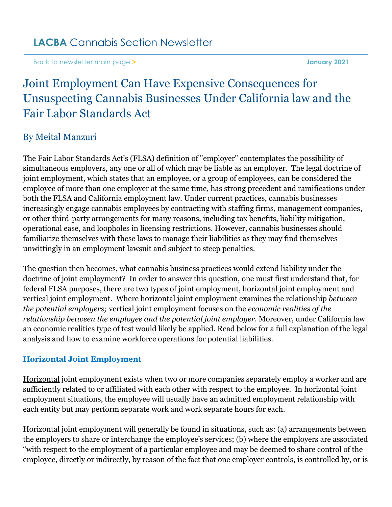[Back to newsletter main page](https://www.lacba.org/sections/cannabis-section/cannabis-section-home-page/cannabis-section-newsletters/january-2021) **> January 2021**

# Joint Employment Can Have Expensive Consequences for Unsuspecting Cannabis Businesses Under California law and the Fair Labor Standards Act

## By Meital Manzuri

The Fair Labor Standards Act's (FLSA) definition of "employer" contemplates the possibility of simultaneous employers, any one or all of which may be liable as an employer. The legal doctrine of joint employment, which states that an employee, or a group of employees, can be considered the employee of more than one employer at the same time, has strong precedent and ramifications under both the FLSA and California employment law. Under current practices, cannabis businesses increasingly engage cannabis employees by contracting with staffing firms, management companies, or other third-party arrangements for many reasons, including tax benefits, liability mitigation, operational ease, and loopholes in licensing restrictions. However, cannabis businesses should familiarize themselves with these laws to manage their liabilities as they may find themselves unwittingly in an employment lawsuit and subject to steep penalties.

The question then becomes, what cannabis business practices would extend liability under the doctrine of joint employment? In order to answer this question, one must first understand that, for federal FLSA purposes, there are two types of joint employment, horizontal joint employment and vertical joint employment. Where horizontal joint employment examines the relationship *between the potential employers;* vertical joint employment focuses on the *economic realities of the relationship between the employee and the potential joint employer*. Moreover, under California law an economic realities type of test would likely be applied. Read below for a full explanation of the legal analysis and how to examine workforce operations for potential liabilities.

#### **Horizontal Joint Employment**

Horizontal joint employment exists when two or more companies separately employ a worker and are sufficiently related to or affiliated with each other with respect to the employee. In horizontal joint employment situations, the employee will usually have an admitted employment relationship with each entity but may perform separate work and work separate hours for each.

Horizontal joint employment will generally be found in situations, such as: (a) arrangements between the employers to share or interchange the employee's services; (b) where the employers are associated "with respect to the employment of a particular employee and may be deemed to share control of the employee, directly or indirectly, by reason of the fact that one employer controls, is controlled by, or is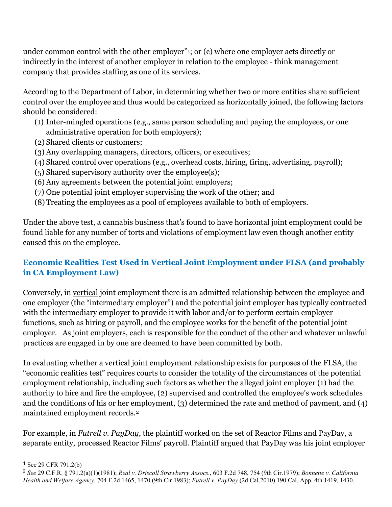under common control with the other employer"[1;](#page-1-0) or (c) where one employer acts directly or indirectly in the interest of another employer in relation to the employee - think management company that provides staffing as one of its services.

According to the Department of Labor, in determining whether two or more entities share sufficient control over the employee and thus would be categorized as horizontally joined, the following factors should be considered:

- (1) Inter-mingled operations (e.g., same person scheduling and paying the employees, or one administrative operation for both employers);
- (2) Shared clients or customers;
- (3) Any overlapping managers, directors, officers, or executives;
- (4) Shared control over operations (e.g., overhead costs, hiring, firing, advertising, payroll);
- (5) Shared supervisory authority over the employee(s);
- (6) Any agreements between the potential joint employers;
- (7) One potential joint employer supervising the work of the other; and
- (8) Treating the employees as a pool of employees available to both of employers.

Under the above test, a cannabis business that's found to have horizontal joint employment could be found liable for any number of torts and violations of employment law even though another entity caused this on the employee.

### **Economic Realities Test Used in Vertical Joint Employment under FLSA (and probably in CA Employment Law)**

Conversely, in vertical joint employment there is an admitted relationship between the employee and one employer (the "intermediary employer") and the potential joint employer has typically contracted with the intermediary employer to provide it with labor and/or to perform certain employer functions, such as hiring or payroll, and the employee works for the benefit of the potential joint employer. As joint employers, each is responsible for the conduct of the other and whatever unlawful practices are engaged in by one are deemed to have been committed by both.

In evaluating whether a vertical joint employment relationship exists for purposes of the FLSA, the "economic realities test" requires courts to consider the totality of the circumstances of the potential employment relationship, including such factors as whether the alleged joint employer (1) had the authority to hire and fire the employee, (2) supervised and controlled the employee's work schedules and the conditions of his or her employment, (3) determined the rate and method of payment, and (4) maintained employment records.[2](#page-1-1)

For example, in *Futrell v. PayDay*, the plaintiff worked on the set of Reactor Films and PayDay, a separate entity, processed Reactor Films' payroll. Plaintiff argued that PayDay was his joint employer

<span id="page-1-0"></span><sup>1</sup> See 29 CFR 791.2(b)

<span id="page-1-1"></span><sup>2</sup> *See* 29 C.F.R. § 791.2(a)(1)(1981); *Real v. Driscoll Strawberry Assocs.*, 603 F.2d 748, 754 (9th Cir.1979); *Bonnette v. California Health and Welfare Agency*, 704 F.2d 1465, 1470 (9th Cir.1983); *Futrell v. PayDay* (2d Cal.2010) 190 Cal. App. 4th 1419, 1430.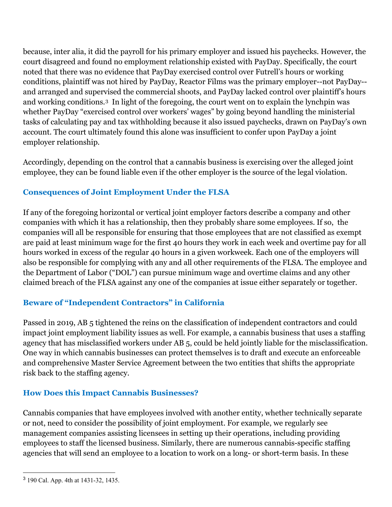because, inter alia, it did the payroll for his primary employer and issued his paychecks. However, the court disagreed and found no employment relationship existed with PayDay. Specifically, the court noted that there was no evidence that PayDay exercised control over Futrell's hours or working conditions, plaintiff was not hired by PayDay, Reactor Films was the primary employer--not PayDay- and arranged and supervised the commercial shoots, and PayDay lacked control over plaintiff's hours and working conditions.[3](#page-2-0) In light of the foregoing, the court went on to explain the lynchpin was whether PayDay "exercised control over workers' wages" by going beyond handling the ministerial tasks of calculating pay and tax withholding because it also issued paychecks, drawn on PayDay's own account. The court ultimately found this alone was insufficient to confer upon PayDay a joint employer relationship.

Accordingly, depending on the control that a cannabis business is exercising over the alleged joint employee, they can be found liable even if the other employer is the source of the legal violation.

## **Consequences of Joint Employment Under the FLSA**

If any of the foregoing horizontal or vertical joint employer factors describe a company and other companies with which it has a relationship, then they probably share some employees. If so, the companies will all be responsible for ensuring that those employees that are not classified as exempt are paid at least minimum wage for the first 40 hours they work in each week and overtime pay for all hours worked in excess of the regular 40 hours in a given workweek. Each one of the employers will also be responsible for complying with any and all other requirements of the FLSA. The employee and the Department of Labor ("DOL") can pursue minimum wage and overtime claims and any other claimed breach of the FLSA against any one of the companies at issue either separately or together.

## **Beware of "Independent Contractors" in California**

Passed in 2019, AB 5 tightened the reins on the classification of independent contractors and could impact joint employment liability issues as well. For example, a cannabis business that uses a staffing agency that has misclassified workers under AB 5, could be held jointly liable for the misclassification. One way in which cannabis businesses can protect themselves is to draft and execute an enforceable and comprehensive Master Service Agreement between the two entities that shifts the appropriate risk back to the staffing agency.

### **How Does this Impact Cannabis Businesses?**

Cannabis companies that have employees involved with another entity, whether technically separate or not, need to consider the possibility of joint employment. For example, we regularly see management companies assisting licensees in setting up their operations, including providing employees to staff the licensed business. Similarly, there are numerous cannabis-specific staffing agencies that will send an employee to a location to work on a long- or short-term basis. In these

<span id="page-2-0"></span><sup>3</sup> 190 Cal. App. 4th at 1431-32, 1435.